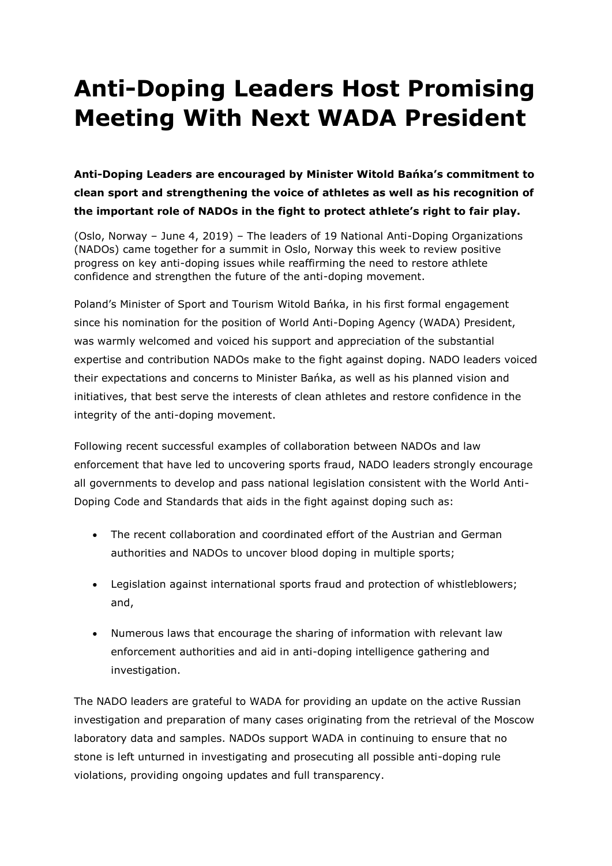## **Anti-Doping Leaders Host Promising Meeting With Next WADA President**

**Anti-Doping Leaders are encouraged by Minister Witold Bańka's commitment to clean sport and strengthening the voice of athletes as well as his recognition of the important role of NADOs in the fight to protect athlete's right to fair play.**

(Oslo, Norway – June 4, 2019) – The leaders of 19 National Anti-Doping Organizations (NADOs) came together for a summit in Oslo, Norway this week to review positive progress on key anti-doping issues while reaffirming the need to restore athlete confidence and strengthen the future of the anti-doping movement.

Poland's Minister of Sport and Tourism Witold Bańka, in his first formal engagement since his nomination for the position of World Anti-Doping Agency (WADA) President, was warmly welcomed and voiced his support and appreciation of the substantial expertise and contribution NADOs make to the fight against doping. NADO leaders voiced their expectations and concerns to Minister Bańka, as well as his planned vision and initiatives, that best serve the interests of clean athletes and restore confidence in the integrity of the anti-doping movement.

Following recent successful examples of collaboration between NADOs and law enforcement that have led to uncovering sports fraud, NADO leaders strongly encourage all governments to develop and pass national legislation consistent with the World Anti-Doping Code and Standards that aids in the fight against doping such as:

- The recent collaboration and coordinated effort of the Austrian and German authorities and NADOs to uncover blood doping in multiple sports;
- Legislation against international sports fraud and protection of whistleblowers; and,
- Numerous laws that encourage the sharing of information with relevant law enforcement authorities and aid in anti-doping intelligence gathering and investigation.

The NADO leaders are grateful to WADA for providing an update on the active Russian investigation and preparation of many cases originating from the retrieval of the Moscow laboratory data and samples. NADOs support WADA in continuing to ensure that no stone is left unturned in investigating and prosecuting all possible anti-doping rule violations, providing ongoing updates and full transparency.